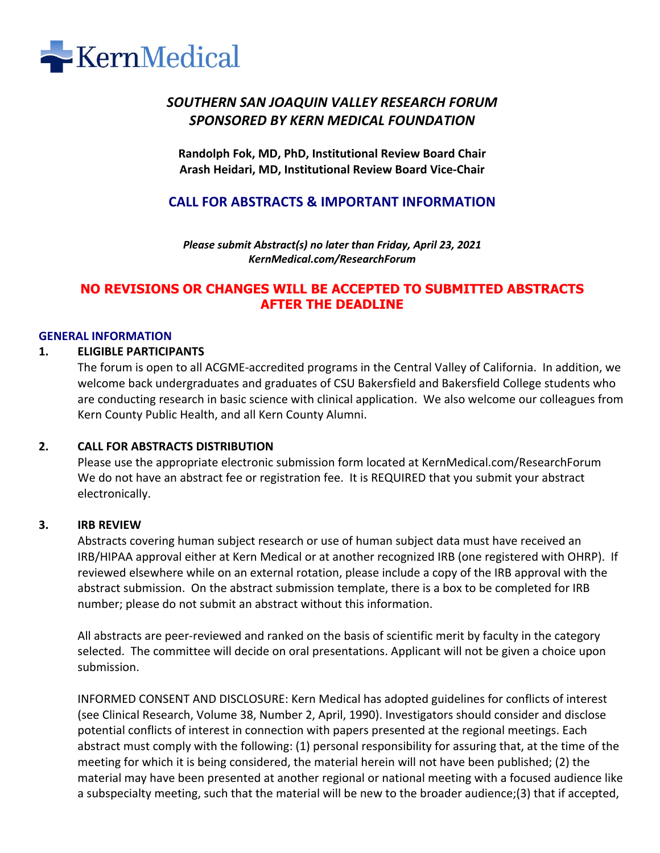

# *SOUTHERN SAN JOAQUIN VALLEY RESEARCH FORUM SPONSORED BY KERN MEDICAL FOUNDATION*

**Randolph Fok, MD, PhD, Institutional Review Board Chair Arash Heidari, MD, Institutional Review Board Vice-Chair**

## **CALL FOR ABSTRACTS & IMPORTANT INFORMATION**

*Please submit Abstract(s) no later than Friday, April 23, 2021 KernMedical.com/ResearchForum*

## **NO REVISIONS OR CHANGES WILL BE ACCEPTED TO SUBMITTED ABSTRACTS AFTER THE DEADLINE**

#### **GENERAL INFORMATION**

#### **1. ELIGIBLE PARTICIPANTS**

The forum is open to all ACGME-accredited programs in the Central Valley of California. In addition, we welcome back undergraduates and graduates of CSU Bakersfield and Bakersfield College students who are conducting research in basic science with clinical application. We also welcome our colleagues from Kern County Public Health, and all Kern County Alumni.

#### **2. CALL FOR ABSTRACTS DISTRIBUTION**

Please use the appropriate electronic submission form located at KernMedical.com/ResearchForum We do not have an abstract fee or registration fee. It is REQUIRED that you submit your abstract electronically.

#### **3. IRB REVIEW**

Abstracts covering human subject research or use of human subject data must have received an IRB/HIPAA approval either at Kern Medical or at another recognized IRB (one registered with OHRP). If reviewed elsewhere while on an external rotation, please include a copy of the IRB approval with the abstract submission. On the abstract submission template, there is a box to be completed for IRB number; please do not submit an abstract without this information.

All abstracts are peer-reviewed and ranked on the basis of scientific merit by faculty in the category selected. The committee will decide on oral presentations. Applicant will not be given a choice upon submission.

INFORMED CONSENT AND DISCLOSURE: Kern Medical has adopted guidelines for conflicts of interest (see Clinical Research, Volume 38, Number 2, April, 1990). Investigators should consider and disclose potential conflicts of interest in connection with papers presented at the regional meetings. Each abstract must comply with the following: (1) personal responsibility for assuring that, at the time of the meeting for which it is being considered, the material herein will not have been published; (2) the material may have been presented at another regional or national meeting with a focused audience like a subspecialty meeting, such that the material will be new to the broader audience;(3) that if accepted,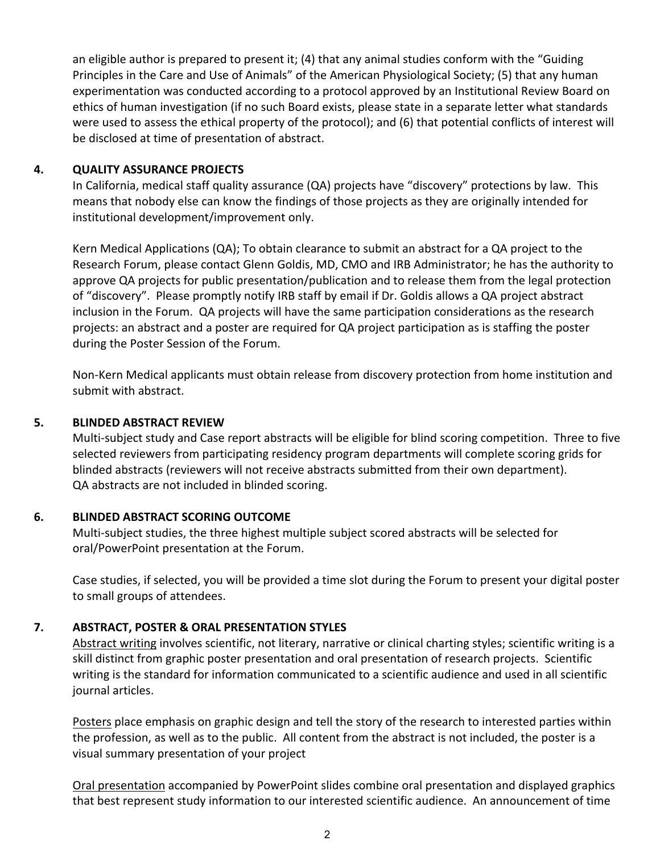an eligible author is prepared to present it; (4) that any animal studies conform with the "Guiding Principles in the Care and Use of Animals" of the American Physiological Society; (5) that any human experimentation was conducted according to a protocol approved by an Institutional Review Board on ethics of human investigation (if no such Board exists, please state in a separate letter what standards were used to assess the ethical property of the protocol); and (6) that potential conflicts of interest will be disclosed at time of presentation of abstract.

## **4. QUALITY ASSURANCE PROJECTS**

In California, medical staff quality assurance (QA) projects have "discovery" protections by law. This means that nobody else can know the findings of those projects as they are originally intended for institutional development/improvement only.

Kern Medical Applications (QA); To obtain clearance to submit an abstract for a QA project to the Research Forum, please contact Glenn Goldis, MD, CMO and IRB Administrator; he has the authority to approve QA projects for public presentation/publication and to release them from the legal protection of "discovery". Please promptly notify IRB staff by email if Dr. Goldis allows a QA project abstract inclusion in the Forum. QA projects will have the same participation considerations as the research projects: an abstract and a poster are required for QA project participation as is staffing the poster during the Poster Session of the Forum.

Non-Kern Medical applicants must obtain release from discovery protection from home institution and submit with abstract.

## **5. BLINDED ABSTRACT REVIEW**

Multi-subject study and Case report abstracts will be eligible for blind scoring competition. Three to five selected reviewers from participating residency program departments will complete scoring grids for blinded abstracts (reviewers will not receive abstracts submitted from their own department). QA abstracts are not included in blinded scoring.

#### **6. BLINDED ABSTRACT SCORING OUTCOME**

Multi-subject studies, the three highest multiple subject scored abstracts will be selected for oral/PowerPoint presentation at the Forum.

Case studies, if selected, you will be provided a time slot during the Forum to present your digital poster to small groups of attendees.

## **7. ABSTRACT, POSTER & ORAL PRESENTATION STYLES**

Abstract writing involves scientific, not literary, narrative or clinical charting styles; scientific writing is a skill distinct from graphic poster presentation and oral presentation of research projects. Scientific writing is the standard for information communicated to a scientific audience and used in all scientific journal articles.

Posters place emphasis on graphic design and tell the story of the research to interested parties within the profession, as well as to the public. All content from the abstract is not included, the poster is a visual summary presentation of your project

Oral presentation accompanied by PowerPoint slides combine oral presentation and displayed graphics that best represent study information to our interested scientific audience. An announcement of time